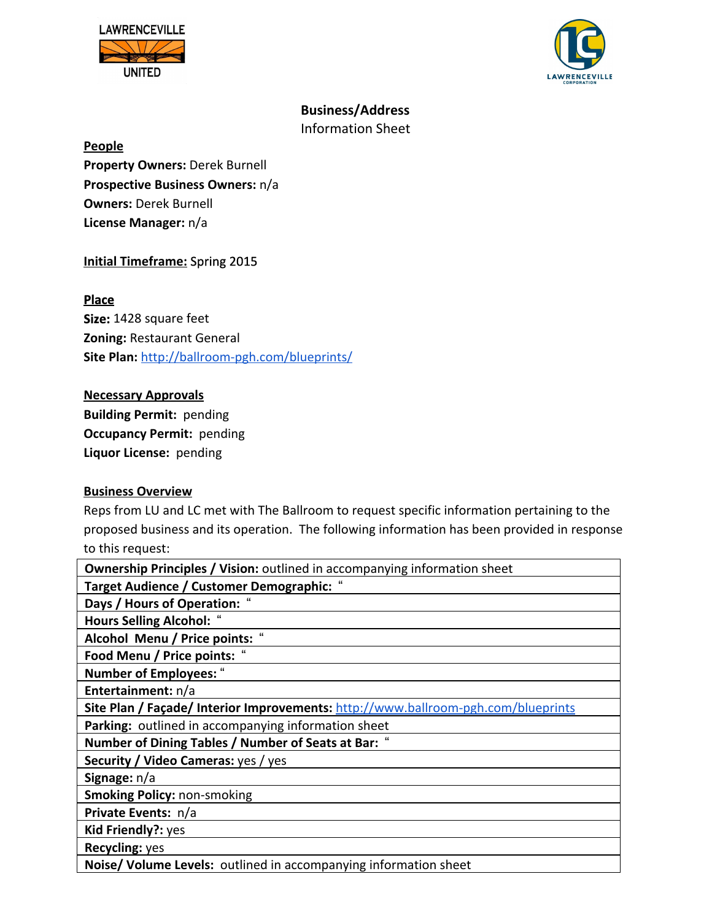



## **Business/Address**

Information Sheet

**People**

**Property Owners:** Derek Burnell **Prospective Business Owners:**n/a **Owners: Derek Burnell License Manager:**n/a

# **Initial Timeframe:**Spring 2015

### **Place**

**Size:**1428 square feet **Zoning: Restaurant General** Site Plan: <http://ballroom-pgh.com/blueprints/>

#### **Necessary Approvals**

**Building Permit:** pending **Occupancy Permit:** pending **Liquor License: pending** 

## **Business Overview**

Reps from LU and LC met with The Ballroom to request specific information pertaining to the proposed business and its operation. The following information has been provided in response to this request:

| <b>Ownership Principles / Vision:</b> outlined in accompanying information sheet  |
|-----------------------------------------------------------------------------------|
| <b>Target Audience / Customer Demographic: "</b>                                  |
| Days / Hours of Operation: "                                                      |
| <b>Hours Selling Alcohol: "</b>                                                   |
| Alcohol Menu / Price points: "                                                    |
| Food Menu / Price points: "                                                       |
| <b>Number of Employees: "</b>                                                     |
| Entertainment: n/a                                                                |
| Site Plan / Façade/ Interior Improvements: http://www.ballroom-pgh.com/blueprints |
| Parking: outlined in accompanying information sheet                               |
| Number of Dining Tables / Number of Seats at Bar: "                               |
| Security / Video Cameras: yes / yes                                               |
| Signage: n/a                                                                      |
| <b>Smoking Policy: non-smoking</b>                                                |
| Private Events: n/a                                                               |
| Kid Friendly?: yes                                                                |
| <b>Recycling: yes</b>                                                             |
| Noise/ Volume Levels: outlined in accompanying information sheet                  |
|                                                                                   |